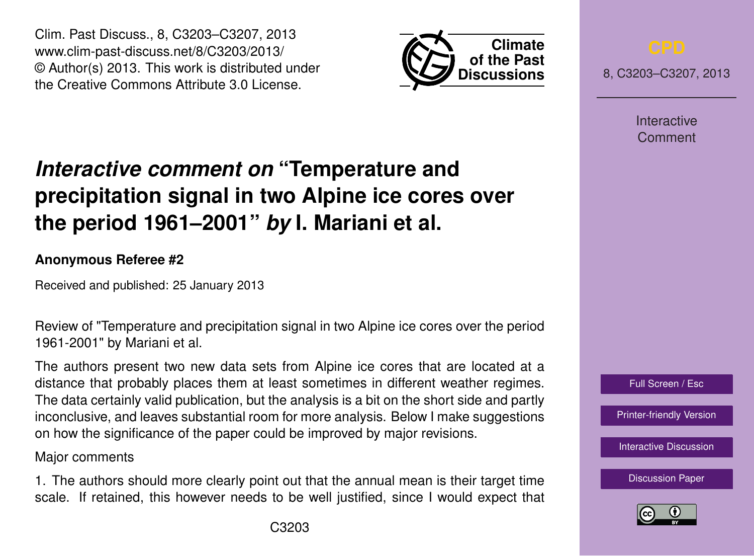Clim. Past Discuss., 8, C3203–C3207, 2013 www.clim-past-discuss.net/8/C3203/2013/ © Author(s) 2013. This work is distributed under the Creative Commons Attribute 3.0 License.



8, C3203–C3207, 2013

**Interactive** Comment

# *Interactive comment on* **"Temperature and precipitation signal in two Alpine ice cores over the period 1961–2001"** *by* **I. Mariani et al.**

### **Anonymous Referee #2**

Received and published: 25 January 2013

Review of "Temperature and precipitation signal in two Alpine ice cores over the period 1961-2001" by Mariani et al.

The authors present two new data sets from Alpine ice cores that are located at a distance that probably places them at least sometimes in different weather regimes. The data certainly valid publication, but the analysis is a bit on the short side and partly inconclusive, and leaves substantial room for more analysis. Below I make suggestions on how the significance of the paper could be improved by major revisions.

### Major comments

1. The authors should more clearly point out that the annual mean is their target time scale. If retained, this however needs to be well justified, since I would expect that [Interactive Discussion](http://www.clim-past-discuss.net/8/5867/2012/cpd-8-5867-2012-discussion.html) [Discussion Paper](http://www.clim-past-discuss.net/8/5867/2012/cpd-8-5867-2012.pdf)

Full Screen / Esc

[Printer-friendly Version](http://www.clim-past-discuss.net/8/C3203/2013/cpd-8-C3203-2013-print.pdf)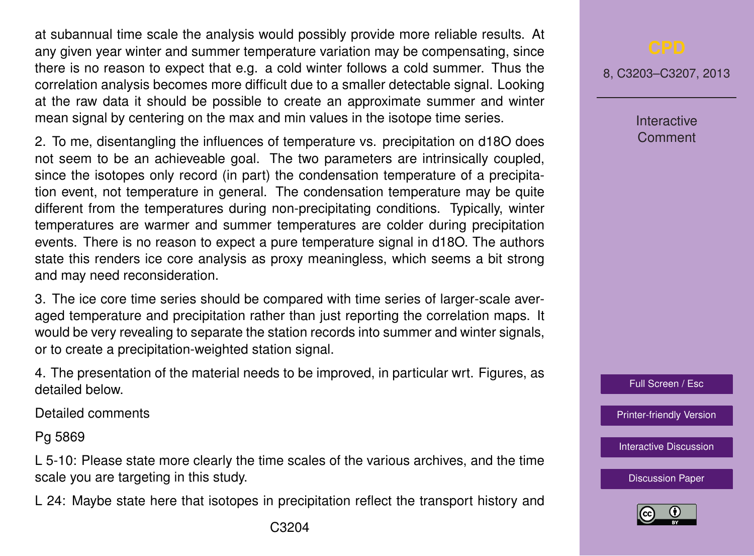at subannual time scale the analysis would possibly provide more reliable results. At any given year winter and summer temperature variation may be compensating, since there is no reason to expect that e.g. a cold winter follows a cold summer. Thus the correlation analysis becomes more difficult due to a smaller detectable signal. Looking at the raw data it should be possible to create an approximate summer and winter mean signal by centering on the max and min values in the isotope time series.

2. To me, disentangling the influences of temperature vs. precipitation on d18O does not seem to be an achieveable goal. The two parameters are intrinsically coupled, since the isotopes only record (in part) the condensation temperature of a precipitation event, not temperature in general. The condensation temperature may be quite different from the temperatures during non-precipitating conditions. Typically, winter temperatures are warmer and summer temperatures are colder during precipitation events. There is no reason to expect a pure temperature signal in d18O. The authors state this renders ice core analysis as proxy meaningless, which seems a bit strong and may need reconsideration.

3. The ice core time series should be compared with time series of larger-scale averaged temperature and precipitation rather than just reporting the correlation maps. It would be very revealing to separate the station records into summer and winter signals, or to create a precipitation-weighted station signal.

4. The presentation of the material needs to be improved, in particular wrt. Figures, as detailed below.

Detailed comments

Pg 5869

L 5-10: Please state more clearly the time scales of the various archives, and the time scale you are targeting in this study.

L 24: Maybe state here that isotopes in precipitation reflect the transport history and

8, C3203–C3207, 2013

Interactive Comment



[Printer-friendly Version](http://www.clim-past-discuss.net/8/C3203/2013/cpd-8-C3203-2013-print.pdf)

[Interactive Discussion](http://www.clim-past-discuss.net/8/5867/2012/cpd-8-5867-2012-discussion.html)

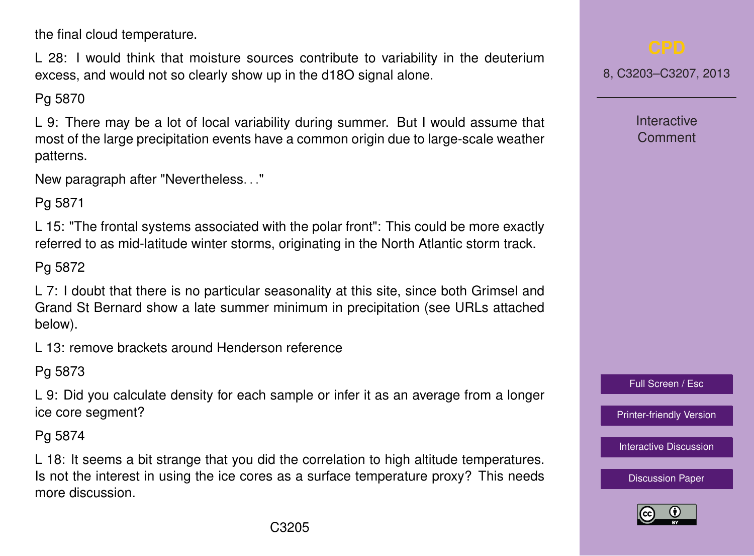the final cloud temperature.

L 28: I would think that moisture sources contribute to variability in the deuterium excess, and would not so clearly show up in the d18O signal alone.

Pg 5870

L 9: There may be a lot of local variability during summer. But I would assume that most of the large precipitation events have a common origin due to large-scale weather patterns.

New paragraph after "Nevertheless. . ."

Pg 5871

L 15: "The frontal systems associated with the polar front": This could be more exactly referred to as mid-latitude winter storms, originating in the North Atlantic storm track.

Pg 5872

L 7: I doubt that there is no particular seasonality at this site, since both Grimsel and Grand St Bernard show a late summer minimum in precipitation (see URLs attached below).

L 13: remove brackets around Henderson reference

Pg 5873

L 9: Did you calculate density for each sample or infer it as an average from a longer ice core segment?

Pg 5874

L 18: It seems a bit strange that you did the correlation to high altitude temperatures. Is not the interest in using the ice cores as a surface temperature proxy? This needs more discussion.

8, C3203–C3207, 2013

**Interactive** Comment

Full Screen / Esc

[Printer-friendly Version](http://www.clim-past-discuss.net/8/C3203/2013/cpd-8-C3203-2013-print.pdf)

[Interactive Discussion](http://www.clim-past-discuss.net/8/5867/2012/cpd-8-5867-2012-discussion.html)

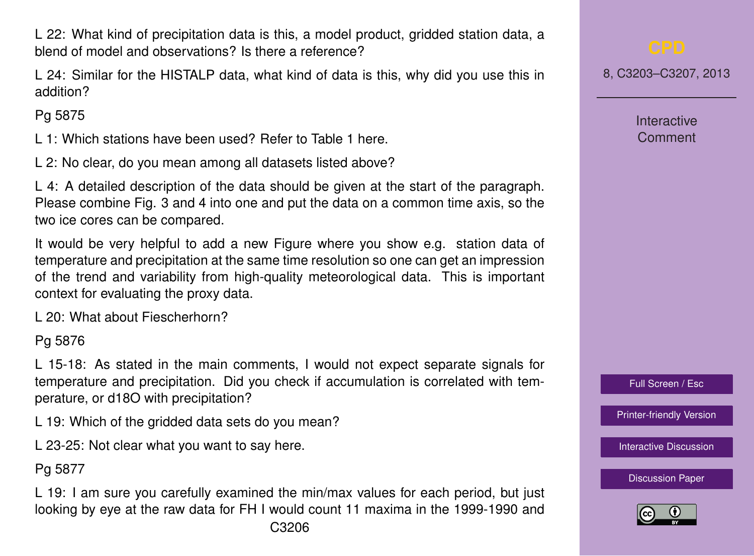C3206

L 22: What kind of precipitation data is this, a model product, gridded station data, a blend of model and observations? Is there a reference?

L 24: Similar for the HISTALP data, what kind of data is this, why did you use this in addition?

Pg 5875

L 1: Which stations have been used? Refer to Table 1 here.

L 2: No clear, do you mean among all datasets listed above?

L 4: A detailed description of the data should be given at the start of the paragraph. Please combine Fig. 3 and 4 into one and put the data on a common time axis, so the two ice cores can be compared.

It would be very helpful to add a new Figure where you show e.g. station data of temperature and precipitation at the same time resolution so one can get an impression of the trend and variability from high-quality meteorological data. This is important context for evaluating the proxy data.

L 20: What about Fiescherhorn?

Pg 5876

L 15-18: As stated in the main comments, I would not expect separate signals for temperature and precipitation. Did you check if accumulation is correlated with temperature, or d18O with precipitation?

L 19: Which of the gridded data sets do you mean?

L 23-25: Not clear what you want to say here.

Pg 5877

L 19: I am sure you carefully examined the min/max values for each period, but just looking by eye at the raw data for FH I would count 11 maxima in the 1999-1990 and

8, C3203–C3207, 2013

**Interactive** Comment



[Printer-friendly Version](http://www.clim-past-discuss.net/8/C3203/2013/cpd-8-C3203-2013-print.pdf)

[Interactive Discussion](http://www.clim-past-discuss.net/8/5867/2012/cpd-8-5867-2012-discussion.html)